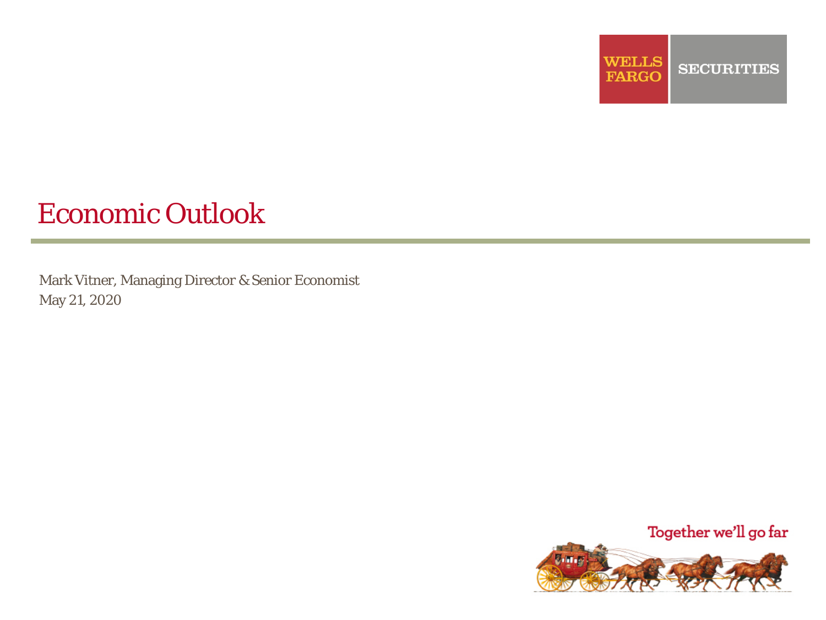

# Economic Outlook

Mark Vitner, Managing Director & Senior Economist May 21, 2020

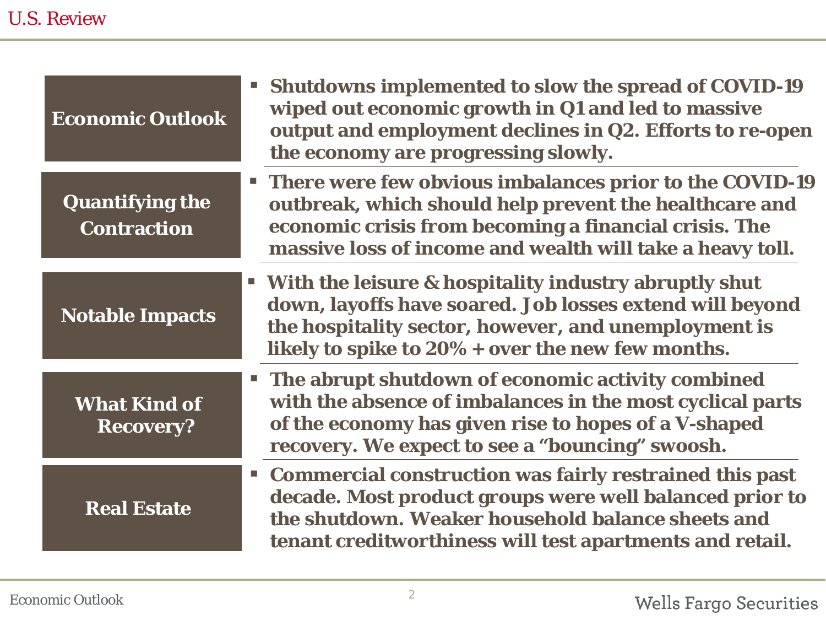| <b>Economic Outlook</b>                      | <b>EXECUTE:</b> Shutdowns implemented to slow the spread of COVID-19<br>wiped out economic growth in Q1 and led to massive<br>output and employment declines in Q2. Efforts to re-open<br>the economy are progressing slowly.                  |
|----------------------------------------------|------------------------------------------------------------------------------------------------------------------------------------------------------------------------------------------------------------------------------------------------|
| <b>Quantifying the</b><br><b>Contraction</b> | <b>There were few obvious imbalances prior to the COVID-19</b><br>outbreak, which should help prevent the healthcare and<br>economic crisis from becoming a financial crisis. The<br>massive loss of income and wealth will take a heavy toll. |
| <b>Notable Impacts</b>                       | " With the leisure & hospitality industry abruptly shut<br>down, layoffs have soared. Job losses extend will beyond<br>the hospitality sector, however, and unemployment is<br>likely to spike to $20\%$ + over the new few months.            |
| <b>What Kind of</b><br><b>Recovery?</b>      | <b>The abrupt shutdown of economic activity combined</b><br>with the absence of imbalances in the most cyclical parts<br>of the economy has given rise to hopes of a V-shaped<br>recovery. We expect to see a "bouncing" swoosh.               |
| <b>Real Estate</b>                           | " Commercial construction was fairly restrained this past<br>decade. Most product groups were well balanced prior to<br>the shutdown. Weaker household balance sheets and<br>tenant creditworthiness will test apartments and retail.          |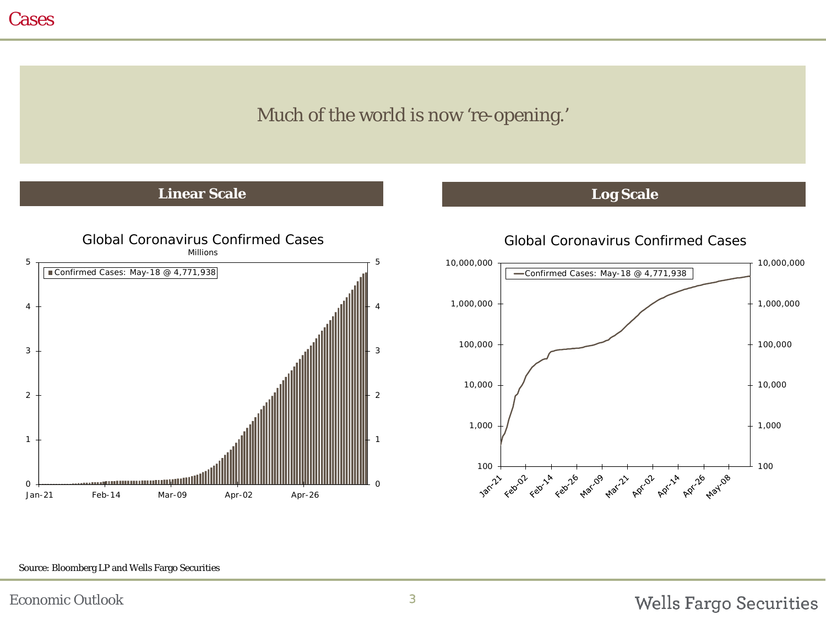## Much of the world is now 're-opening.'

#### **Linear Scale Log Scale**





Global Coronavirus Confirmed Cases



#### Source: Bloomberg LP and Wells Fargo Securities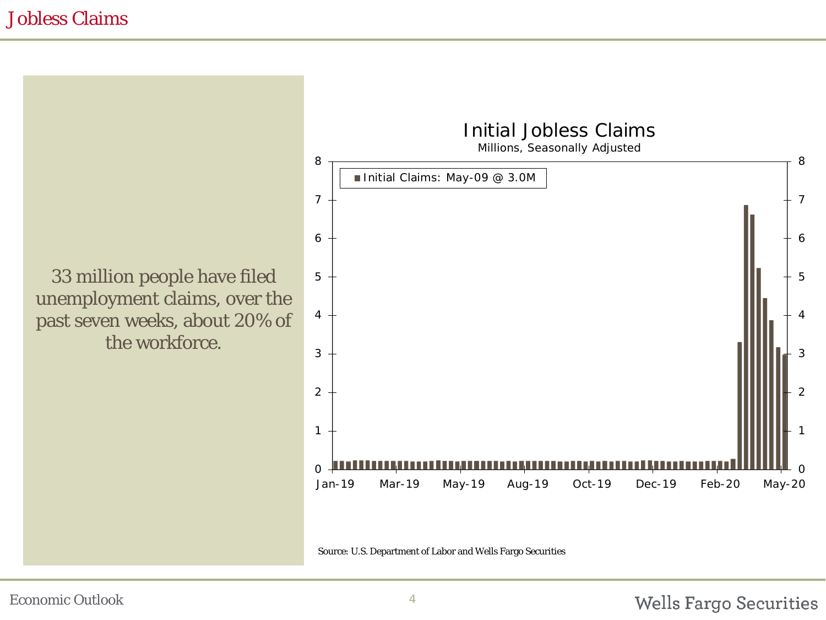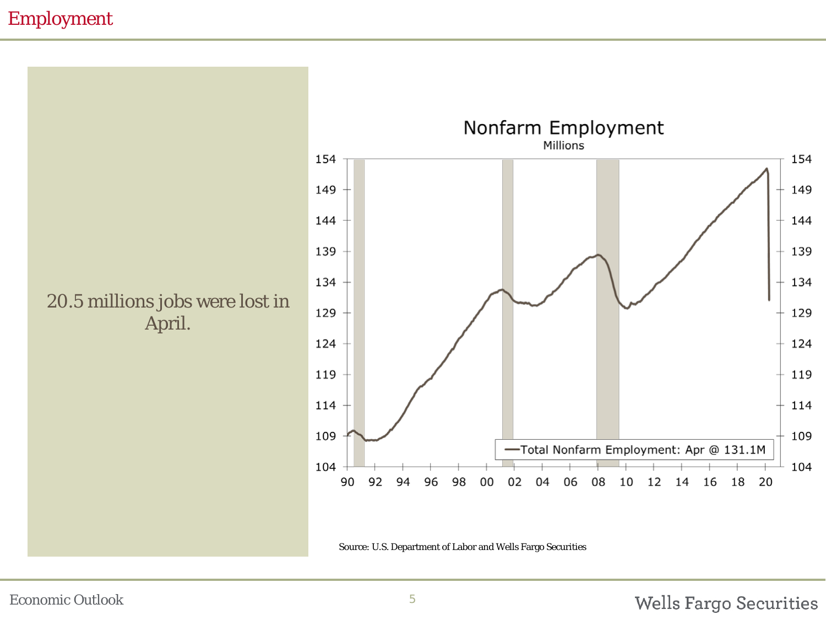## Employment

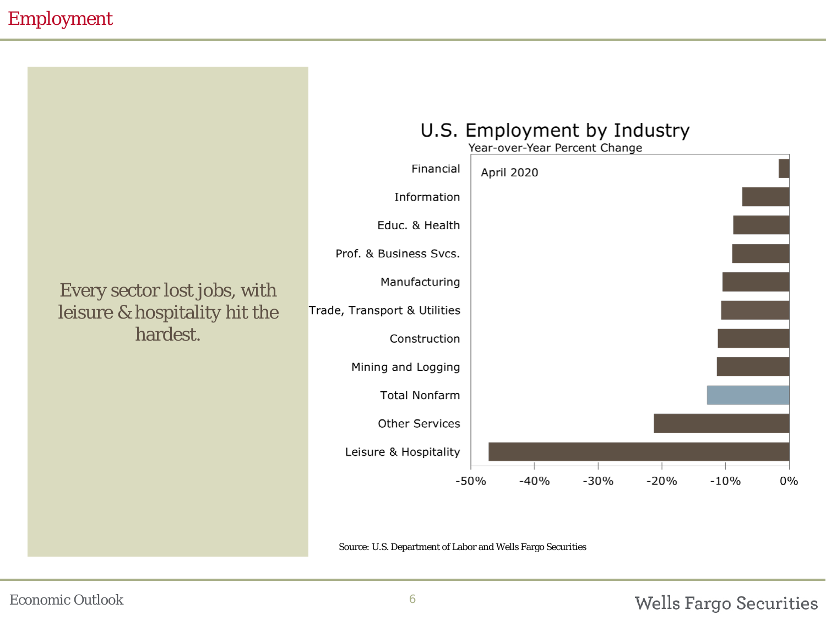## Employment

## Every sector lost jobs, with leisure & hospitality hit the hardest.

#### U.S. Employment by Industry Year-over-Year Percent Change Financial **April 2020** Information Educ. & Health Prof. & Business Svcs. Manufacturing Trade, Transport & Utilities Construction Mining and Logging **Total Nonfarm Other Services** Leisure & Hospitality  $-40%$  $-30%$  $-20%$  $-10%$  $-50%$  $0%$

Source: U.S. Department of Labor and Wells Fargo Securities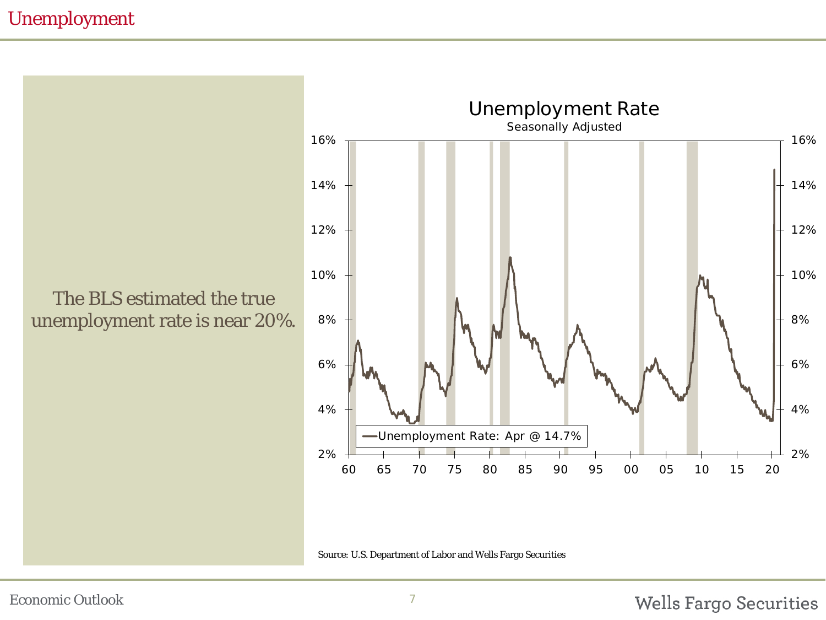## Unemployment

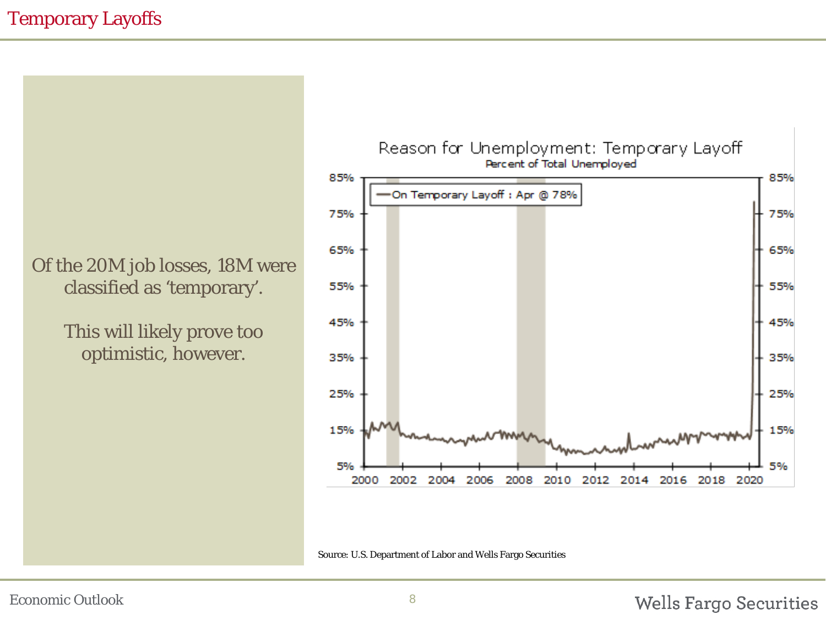## Temporary Layoffs

Of the 20M job losses, 18M were classified as 'temporary'.

> This will likely prove too optimistic, however.



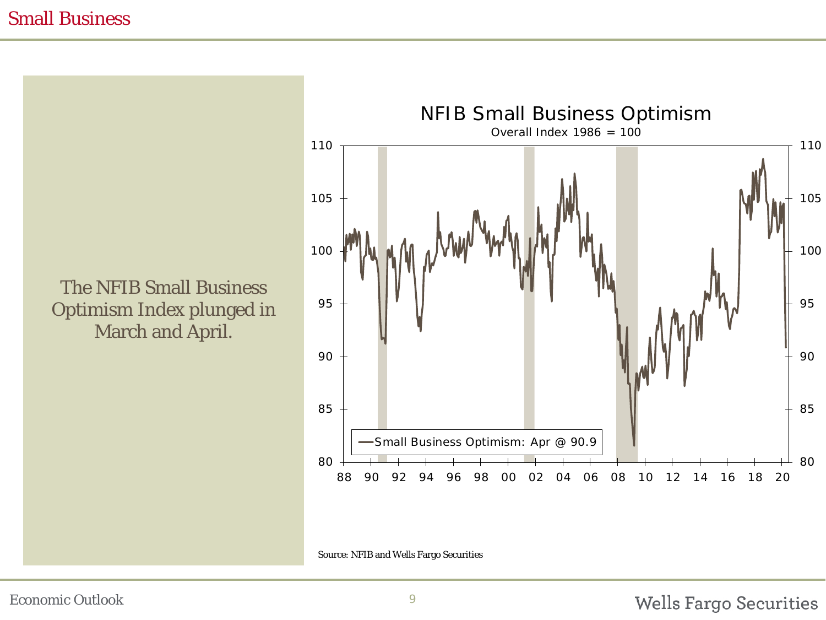#### Small Business

The NFIB Small Business Optimism Index plunged in March and April.



Source: NFIB and Wells Fargo Securities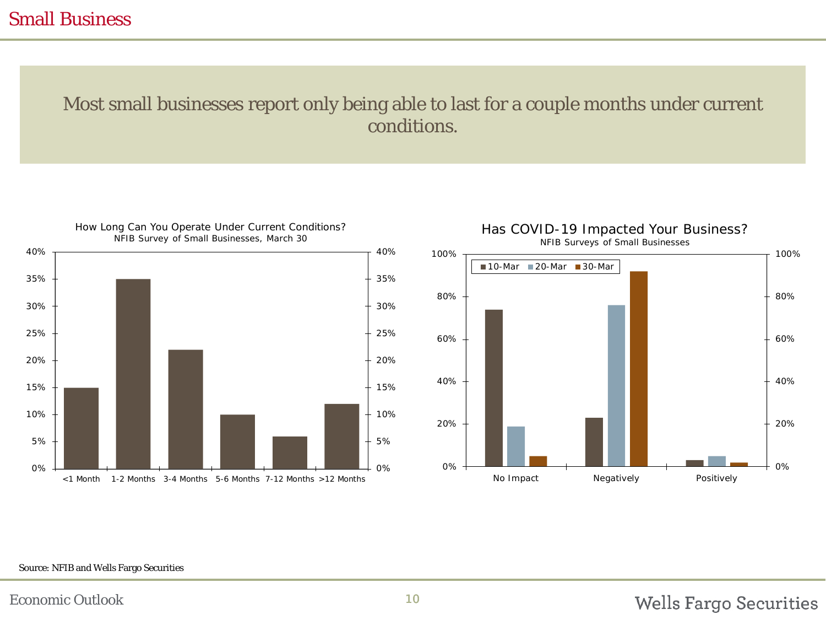#### Small Business

## Most small businesses report only being able to last for a couple months under current conditions.





#### Source: NFIB and Wells Fargo Securities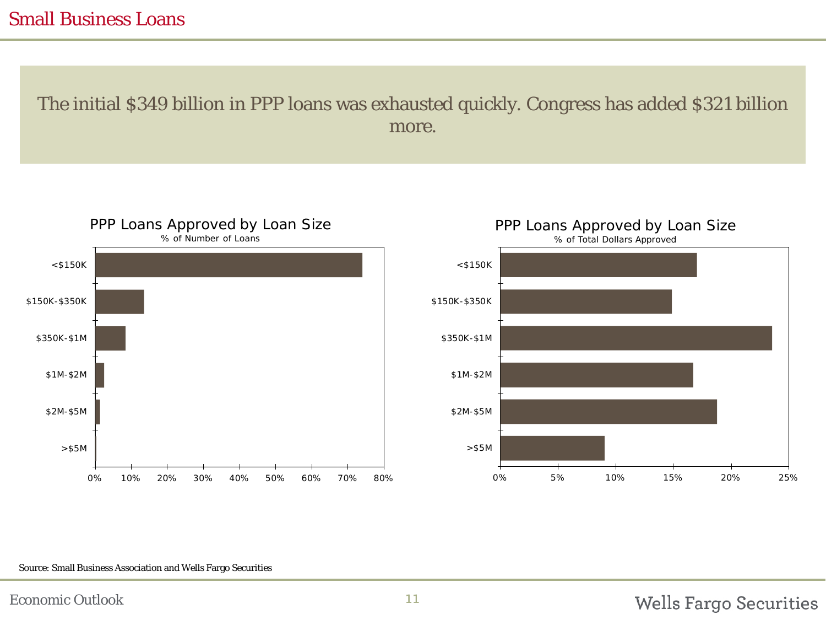#### Small Business Loans

The initial \$349 billion in PPP loans was exhausted quickly. Congress has added \$321 billion more.



#### Source: Small Business Association and Wells Fargo Securities

## **Wells Fargo Securities**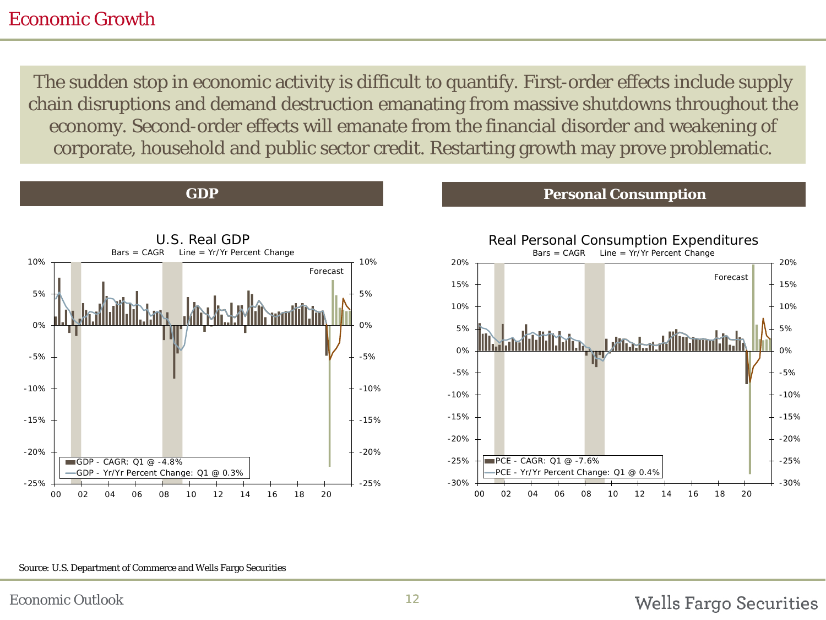#### Economic Growth

The sudden stop in economic activity is difficult to quantify. First-order effects include supply chain disruptions and demand destruction emanating from massive shutdowns throughout the economy. Second-order effects will emanate from the financial disorder and weakening of corporate, household and public sector credit. Restarting growth may prove problematic.



#### **GDP Personal Consumption**



#### Source: U.S. Department of Commerce and Wells Fargo Securities

#### **Wells Fargo Securities**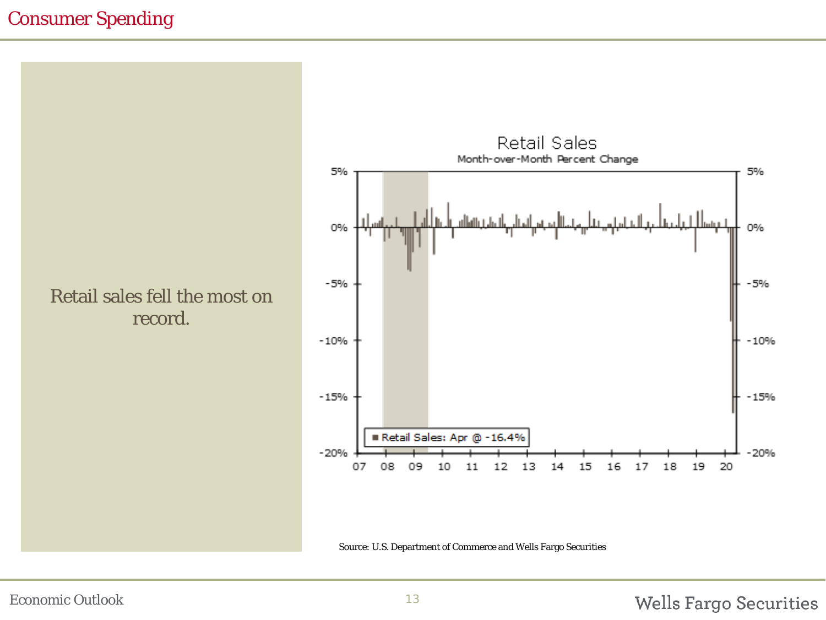## Consumer Spending





Source: U.S. Department of Commerce and Wells Fargo Securities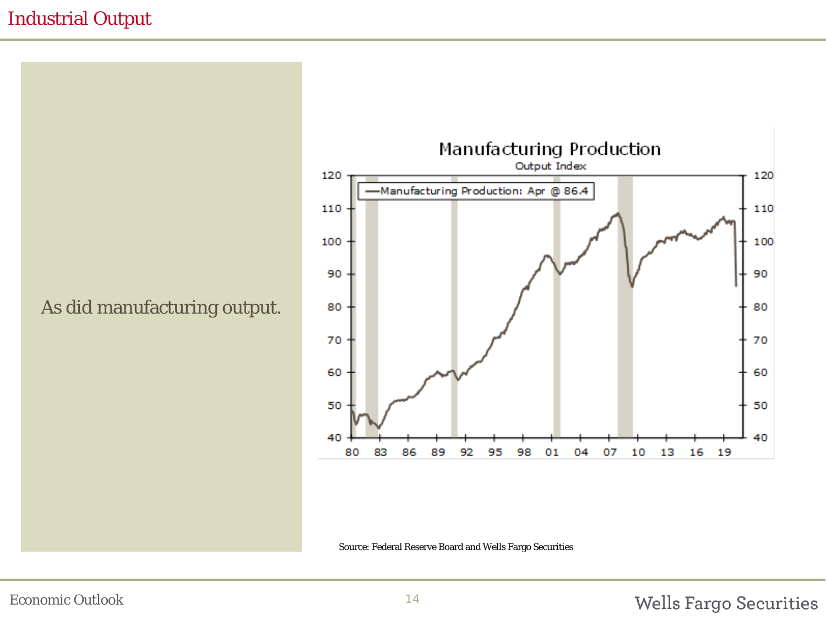## Industrial Output



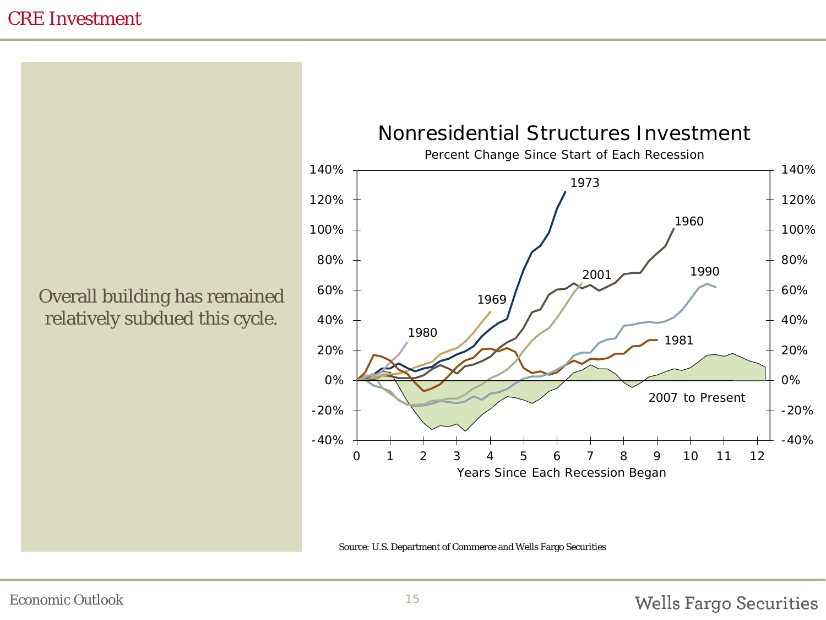## CRE Investment

Overall building has remained relatively subdued this cycle.



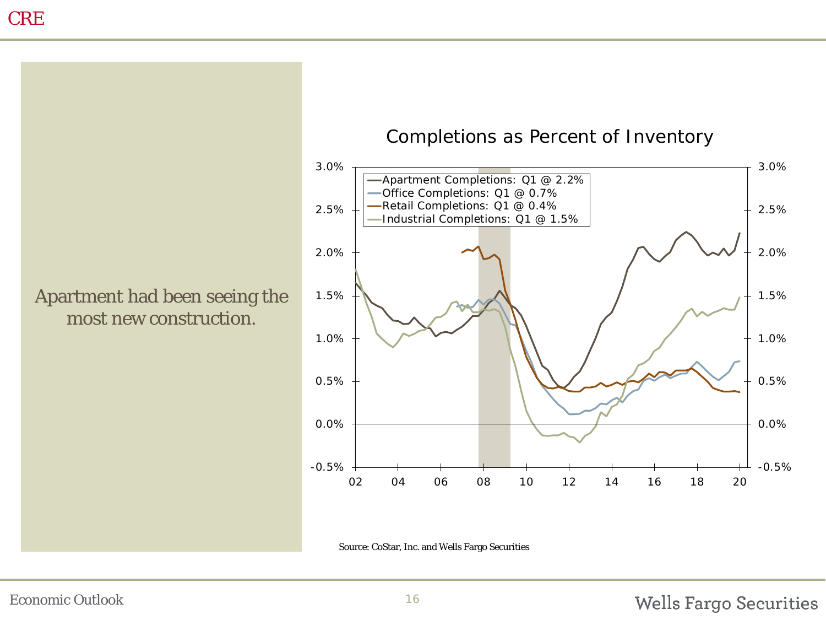

#### Completions as Percent of Inventory



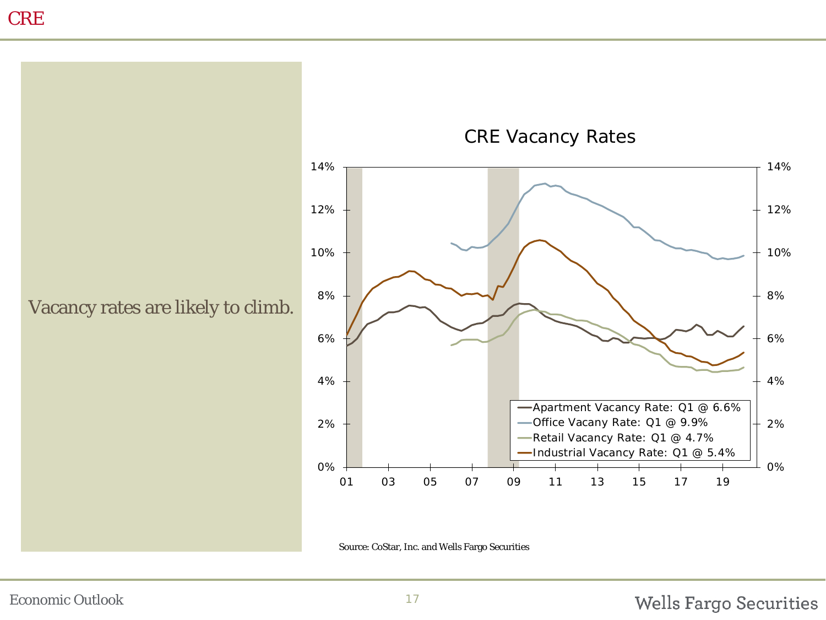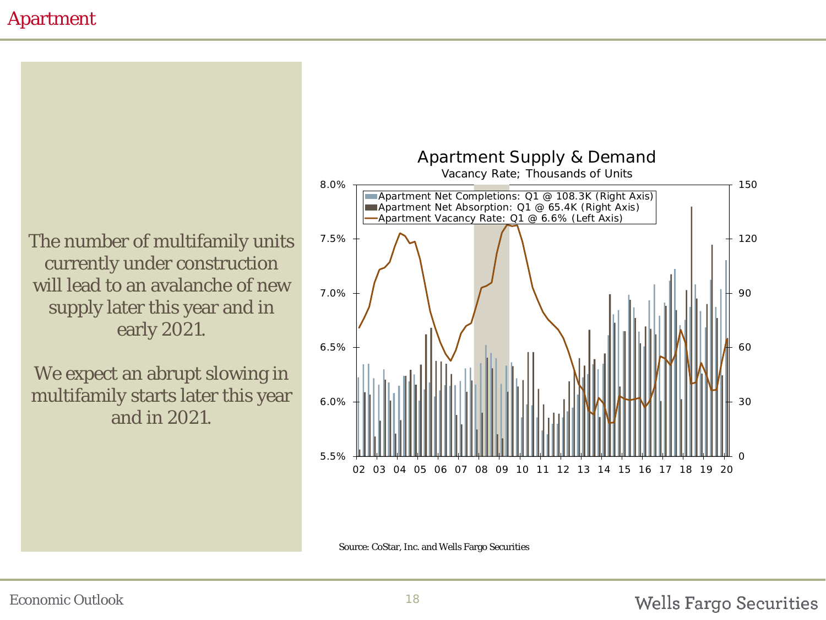## Apartment

The number of multifamily units currently under construction will lead to an avalanche of new supply later this year and in early 2021.

We expect an abrupt slowing in multifamily starts later this year and in 2021.



Source: CoStar, Inc. and Wells Fargo Securities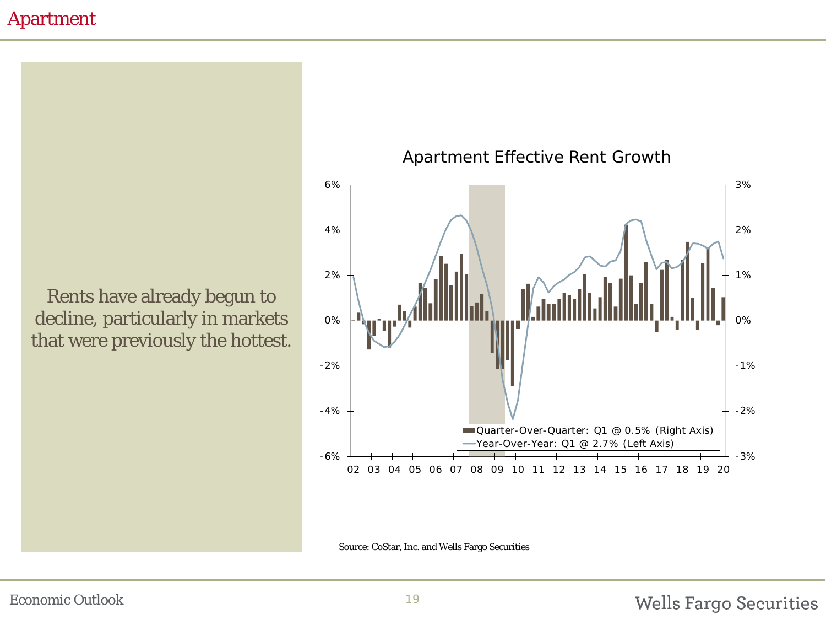#### Apartment

Rents have already begun to decline, particularly in markets that were previously the hottest.





Source: CoStar, Inc. and Wells Fargo Securities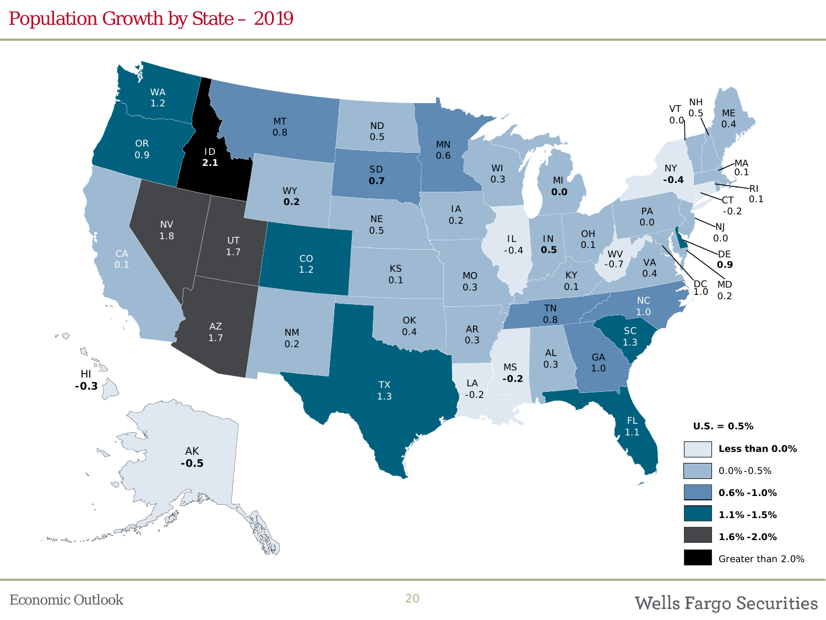## Population Growth by State – 2019

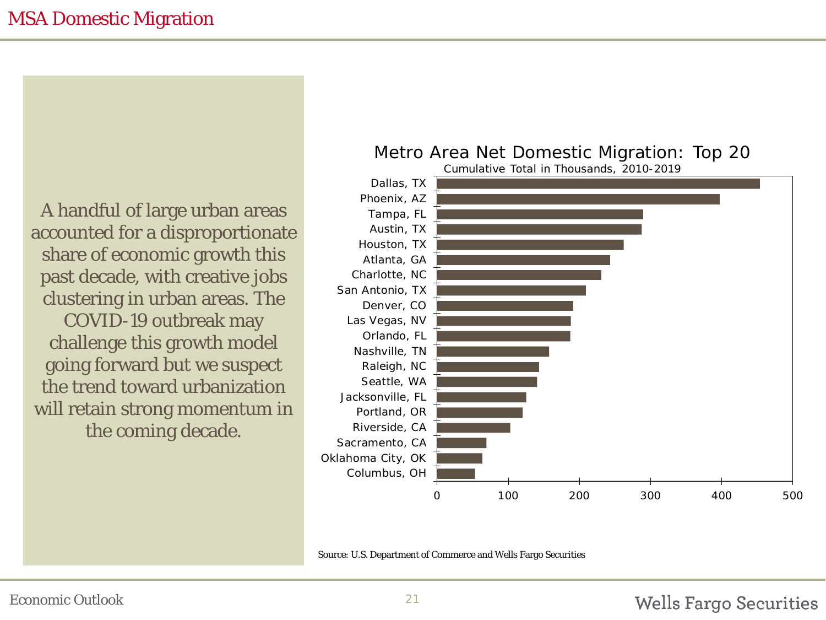A handful of large urban areas accounted for a disproportionate share of economic growth this past decade, with creative jobs clustering in urban areas. The COVID-19 outbreak may

challenge this growth model going forward but we suspect the trend toward urbanization will retain strong momentum in the coming decade.

#### Metro Area Net Domestic Migration: Top 20



Source: U.S. Department of Commerce and Wells Fargo Securities

#### Wells Fargo Securities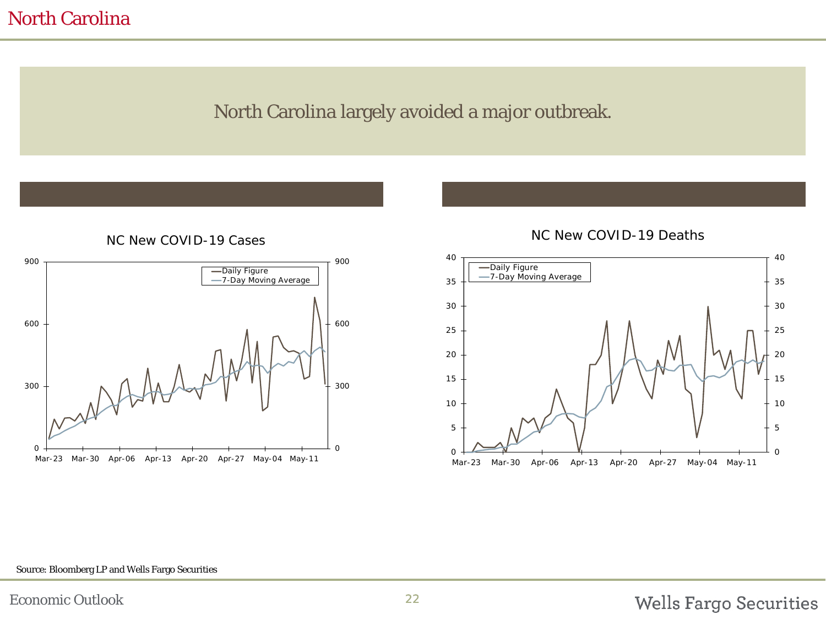#### North Carolina

## North Carolina largely avoided a major outbreak.



NC New COVID-19 Cases



#### NC New COVID-19 Deaths

#### Source: Bloomberg LP and Wells Fargo Securities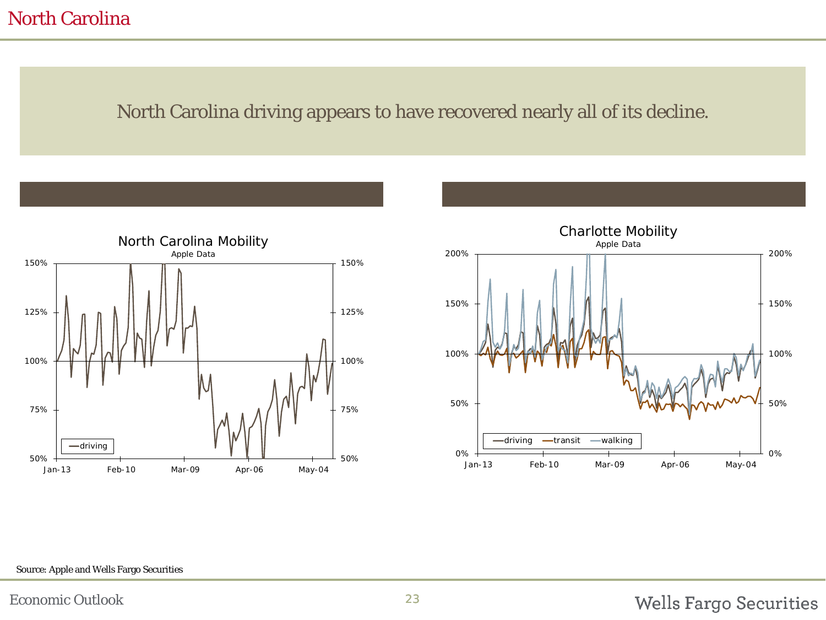## North Carolina

### North Carolina driving appears to have recovered nearly all of its decline.





#### Source: Apple and Wells Fargo Securities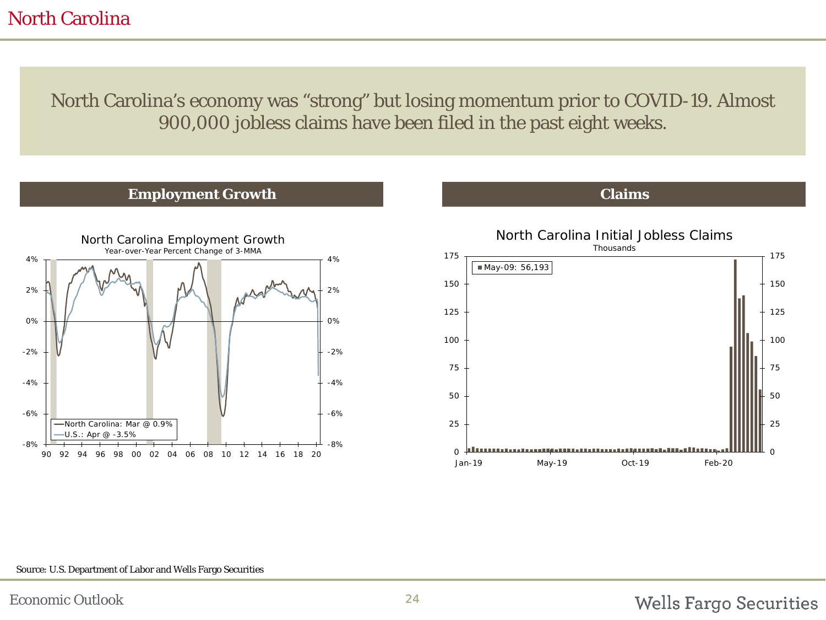## North Carolina

North Carolina's economy was "strong" but losing momentum prior to COVID-19. Almost 900,000 jobless claims have been filed in the past eight weeks.







#### Source: U.S. Department of Labor and Wells Fargo Securities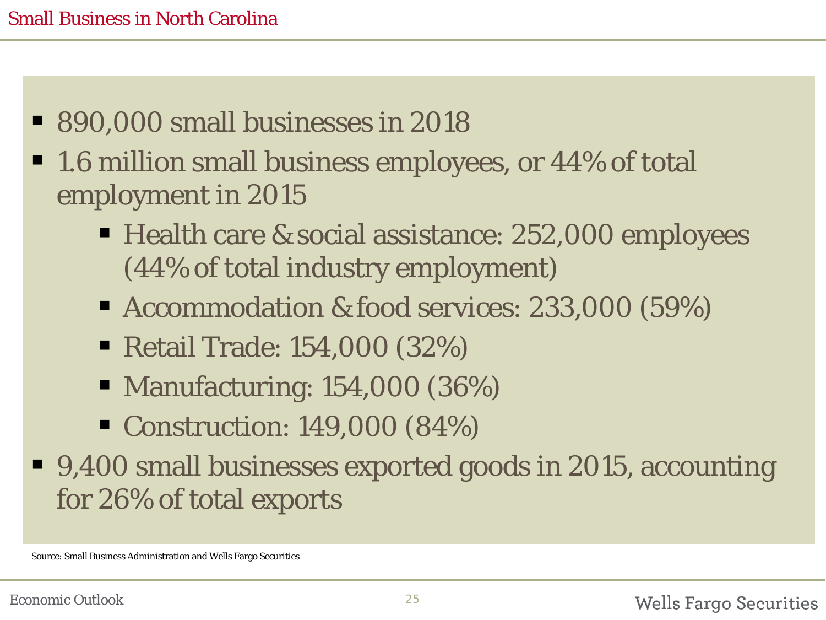- 890,000 small businesses in 2018
- 1.6 million small business employees, or 44% of total employment in 2015
	- Health care & social assistance: 252,000 employees (44% of total industry employment)
	- Accommodation & food services: 233,000 (59%)
	- Retail Trade: 154,000 (32%)
	- Manufacturing: 154,000 (36%)
	- Construction: 149,000 (84%)
- 9,400 small businesses exported goods in 2015, accounting for 26% of total exports

Source: Small Business Administration and Wells Fargo Securities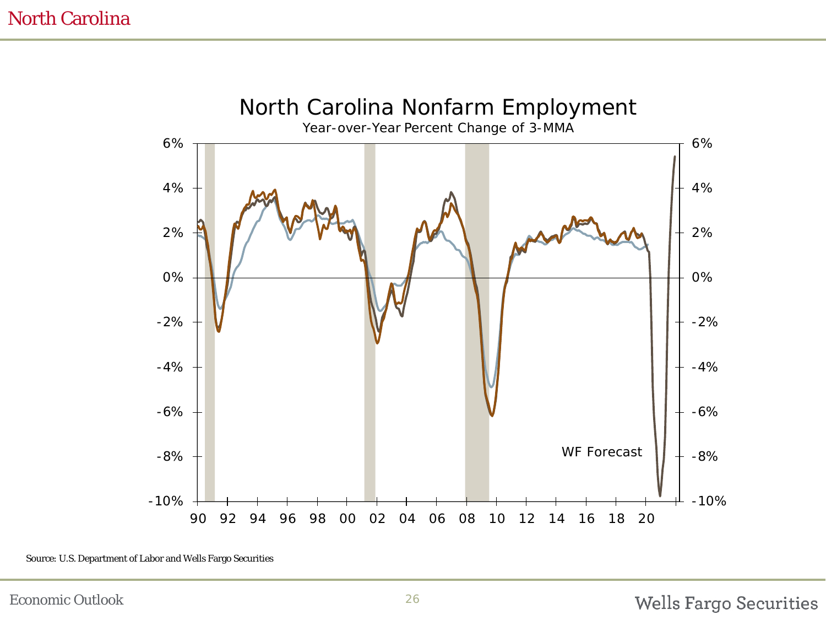

Source: U.S. Department of Labor and Wells Fargo Securities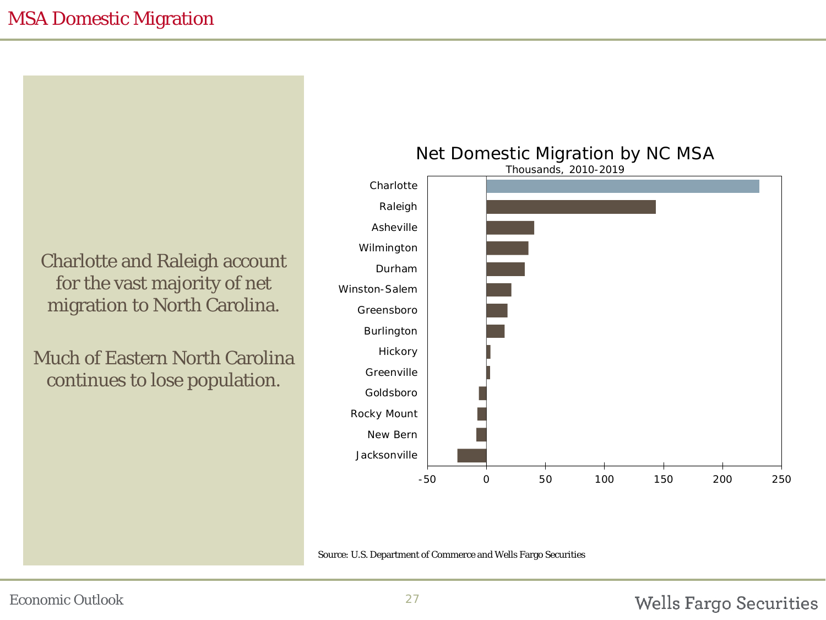Charlotte and Raleigh account for the vast majority of net migration to North Carolina.

Much of Eastern North Carolina continues to lose population.



Source: U.S. Department of Commerce and Wells Fargo Securities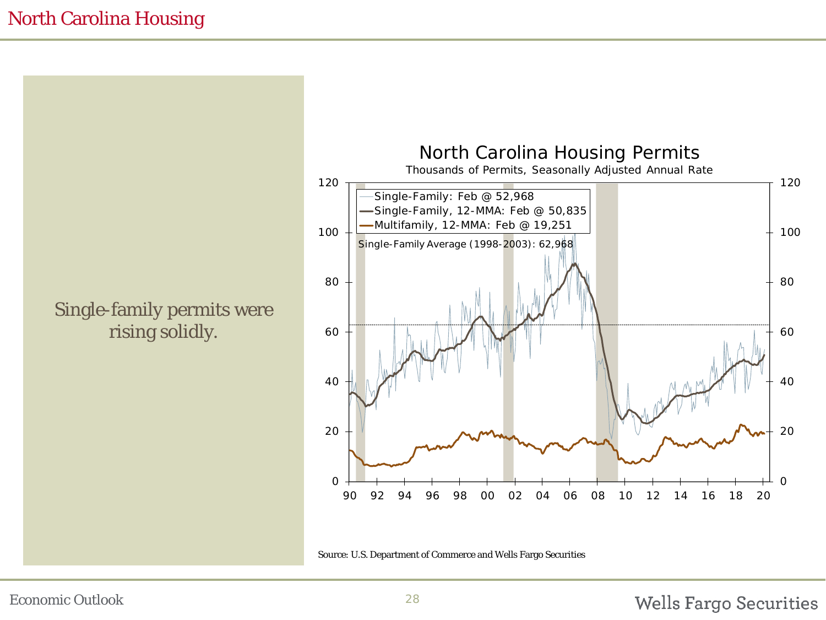Single-family permits were rising solidly.



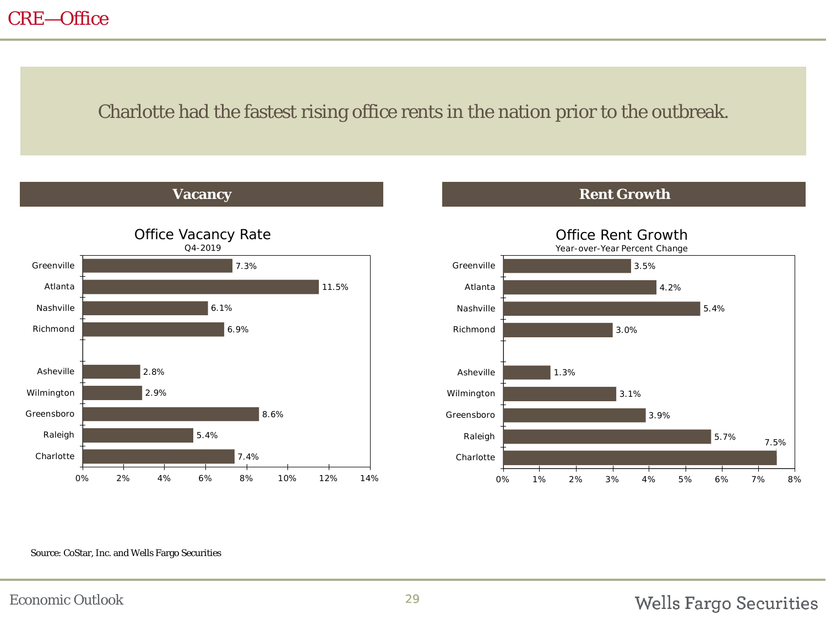## CRE—Office

#### Charlotte had the fastest rising office rents in the nation prior to the outbreak.

**Vacancy Rent Growth** 





#### Source: CoStar, Inc. and Wells Fargo Securities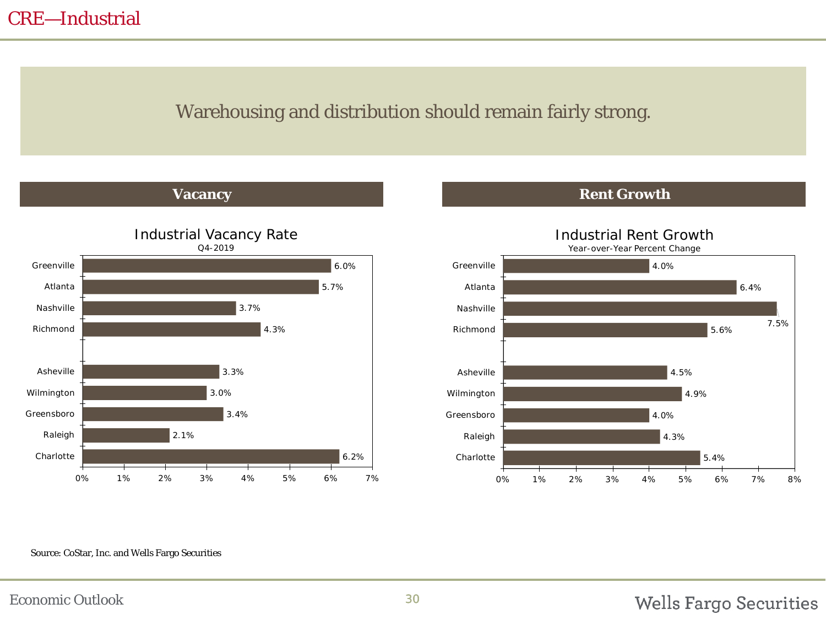## CRE—Industrial

## Warehousing and distribution should remain fairly strong.

**Vacancy Rent Growth** 



5.4% 4.3% 4.0% 4.9% 4.5% 5.6% 7.5% 6.4% 4.0% 0% 1% 2% 3% 4% 5% 6% 7% 8% Charlotte Raleigh Greensboro Wilmington Asheville Richmond Nashville Atlanta Greenville Industrial Rent Growth Year-over-Year Percent Change

#### Source: CoStar, Inc. and Wells Fargo Securities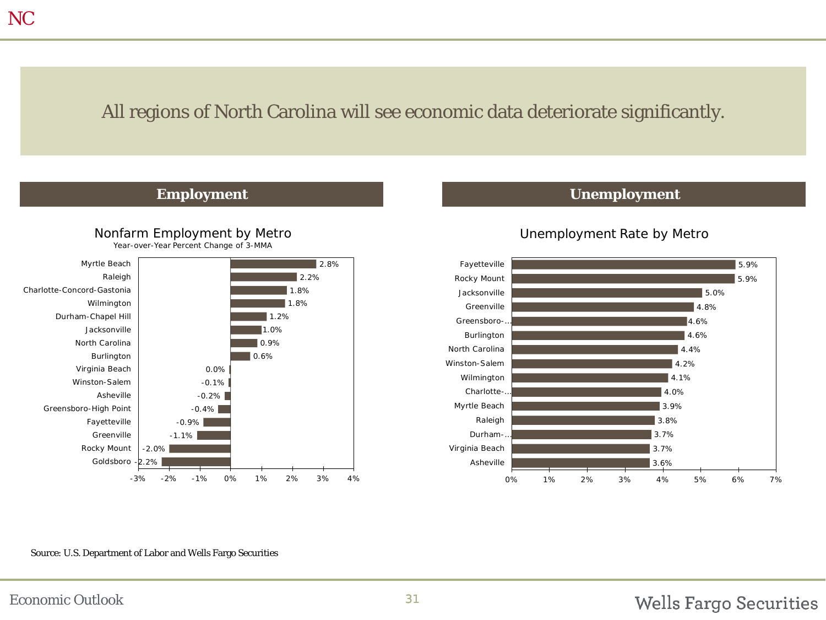## All regions of North Carolina will see economic data deteriorate significantly.



#### **Employment Unemployment**

#### Unemployment Rate by Metro



Source: U.S. Department of Labor and Wells Fargo Securities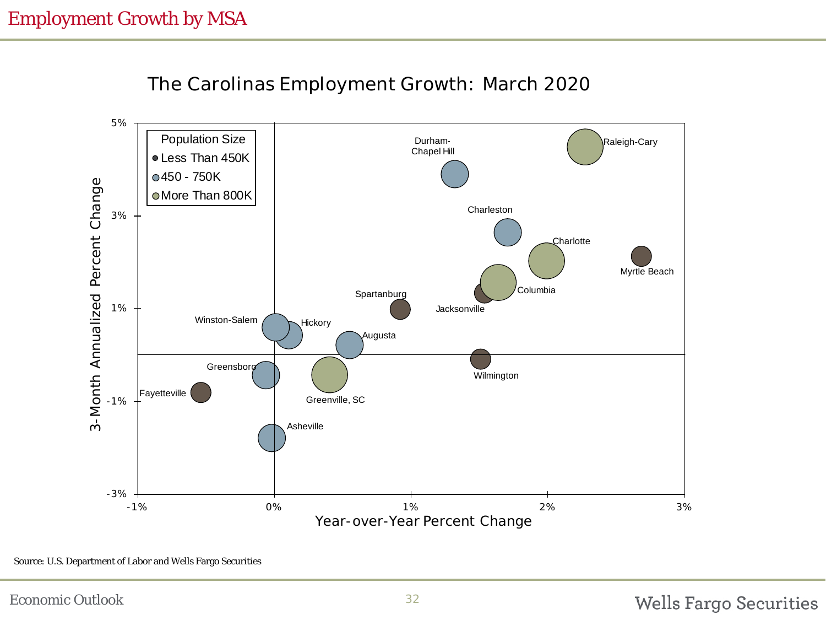

The Carolinas Employment Growth: March 2020

Source: U.S. Department of Labor and Wells Fargo Securities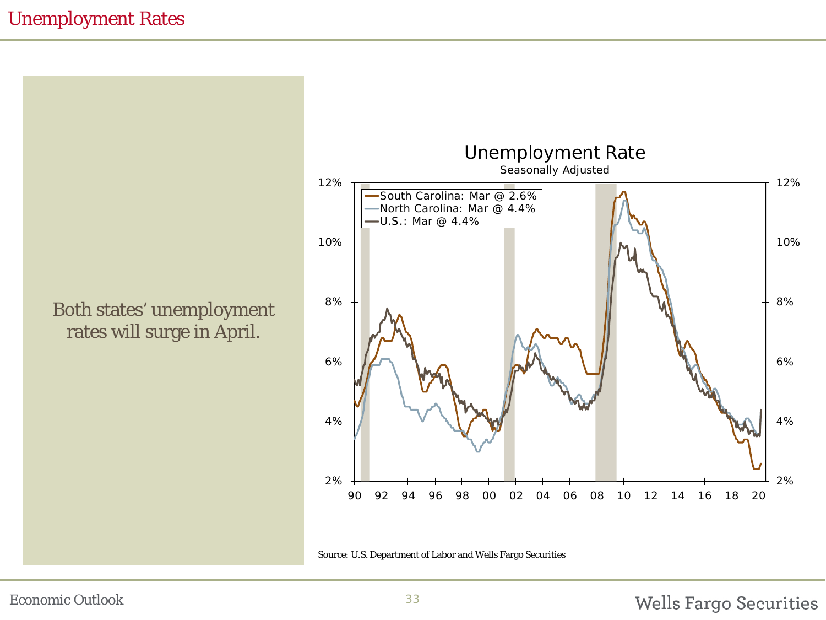Both states' unemployment rates will surge in April.



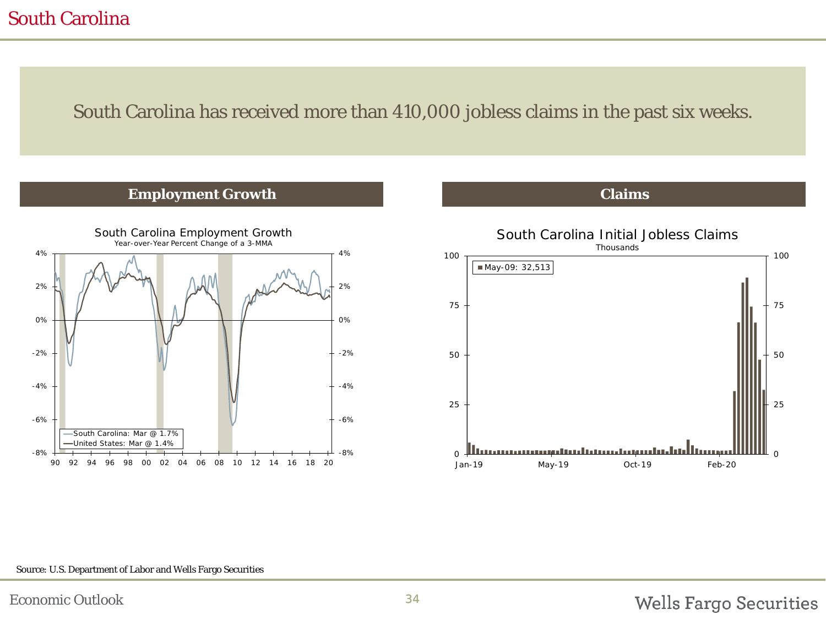## South Carolina

#### South Carolina has received more than 410,000 jobless claims in the past six weeks.

#### **Employment Growth Claims**





#### Source: U.S. Department of Labor and Wells Fargo Securities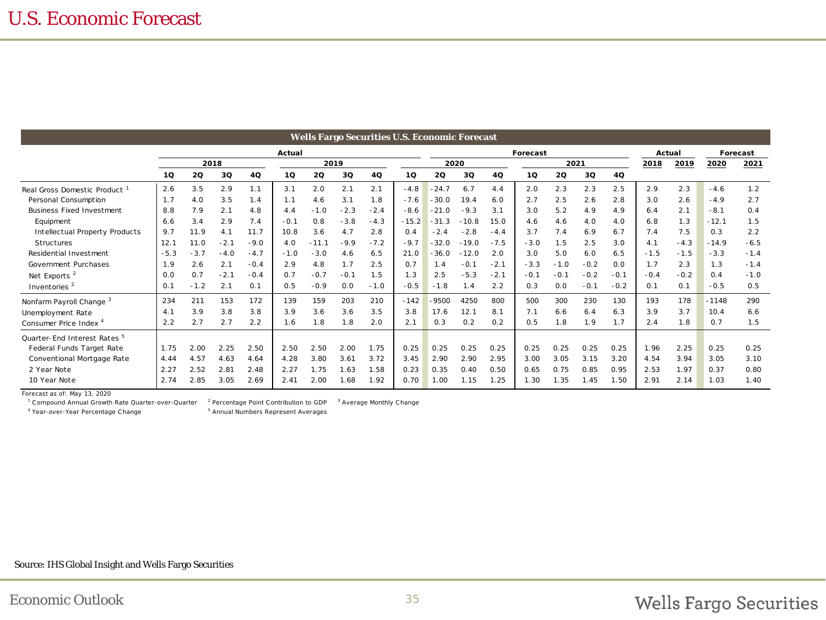| Wells Fargo Securities U.S. Economic Forecast |        |        |        |        |        |         |        |          |         |         |         |        |        |        |        |          |        |        |         |        |
|-----------------------------------------------|--------|--------|--------|--------|--------|---------|--------|----------|---------|---------|---------|--------|--------|--------|--------|----------|--------|--------|---------|--------|
|                                               | Actual |        |        |        |        |         |        | Forecast |         |         |         |        |        | Actual |        | Forecast |        |        |         |        |
|                                               | 2018   |        |        | 2019   |        |         |        |          | 2020    |         |         | 2021   |        |        |        | 2018     | 2019   | 2020   | 2021    |        |
|                                               | 10     | 2Q     | 3Q     | 4Q     | 10     | 2Q      | 3Q     | 4Q       | 10      | 20      | 3Q      | 4Q     | 10     | 2Q     | 3Q     | 4Q       |        |        |         |        |
| Real Gross Domestic Product                   | 2.6    | 3.5    | 2.9    | 1.1    | 3.1    | 2.0     | 2.1    | 2.1      | $-4.8$  | $-24.7$ | 6.7     | 4.4    | 2.0    | 2.3    | 2.3    | 2.5      | 2.9    | 2.3    | $-4.6$  | 1.2    |
| Personal Consumption                          | 1.7    | 4.0    | 3.5    | 1.4    | 1.1    | 4.6     | 3.1    | 1.8      | $-7.6$  | $-30.0$ | 19.4    | 6.0    | 2.7    | 2.5    | 2.6    | 2.8      | 3.0    | 2.6    | $-4.9$  | 2.7    |
| <b>Business Fixed Investment</b>              | 8.8    | 7.9    | 2.1    | 4.8    | 4.4    | $-1.0$  | $-2.3$ | $-2.4$   | $-8.6$  | $-21.0$ | $-9.3$  | 3.1    | 3.0    | 5.2    | 4.9    | 4.9      | 6.4    | 2.1    | $-8.1$  | 0.4    |
| Equipment                                     | 6.6    | 3.4    | 2.9    | 7.4    | $-0.1$ | 0.8     | $-3.8$ | $-4.3$   | $-15.2$ | $-31.3$ | $-10.8$ | 15.0   | 4.6    | 4.6    | 4.0    | 4.0      | 6.8    | 1.3    | $-12.1$ | 1.5    |
| Intellectual Property Products                | 9.7    | 11.9   | 4.1    | 11.7   | 10.8   | 3.6     | 4.7    | 2.8      | 0.4     | $-2.4$  | $-2.8$  | $-4.4$ | 3.7    | 7.4    | 6.9    | 6.7      | 7.4    | 7.5    | 0.3     | 2.2    |
| Structures                                    | 12.1   | 11.0   | $-2.1$ | $-9.0$ | 4.0    | $-11.1$ | $-9.9$ | $-7.2$   | $-9.7$  | $-32.0$ | $-19.0$ | $-7.5$ | $-3.0$ | 1.5    | 2.5    | 3.0      | 4.1    | $-4.3$ | $-14.9$ | $-6.5$ |
| Residential Investment                        | $-5.3$ | $-3.7$ | $-4.0$ | $-4.7$ | $-1.0$ | $-3.0$  | 4.6    | 6.5      | 21.0    | $-36.0$ | $-12.0$ | 2.0    | 3.0    | 5.0    | 6.0    | 6.5      | $-1.5$ | $-1.5$ | $-3.3$  | $-1.4$ |
| Government Purchases                          | 1.9    | 2.6    | 2.1    | $-0.4$ | 2.9    | 4.8     | 1.7    | 2.5      | 0.7     | 1.4     | $-0.1$  | $-2.1$ | $-3.3$ | $-1.0$ | $-0.2$ | 0.0      | 1.7    | 2.3    | 1.3     | $-1.4$ |
| Net Exports <sup>2</sup>                      | 0.0    | 0.7    | $-2.1$ | $-0.4$ | 0.7    | $-0.7$  | $-0.1$ | 1.5      | 1.3     | 2.5     | $-5.3$  | $-2.1$ | $-0.1$ | $-0.1$ | $-0.2$ | $-0.1$   | $-0.4$ | $-0.2$ | 0.4     | $-1.0$ |
| Inventories <sup>2</sup>                      | 0.1    | $-1.2$ | 2.1    | 0.1    | 0.5    | $-0.9$  | 0.0    | $-1.0$   | $-0.5$  | $-1.8$  | 1.4     | 2.2    | 0.3    | 0.0    | $-0.1$ | $-0.2$   | 0.1    | 0.1    | $-0.5$  | 0.5    |
| Nonfarm Payroll Change <sup>3</sup>           | 234    | 211    | 153    | 172    | 139    | 159     | 203    | 210      | $-142$  | $-9500$ | 4250    | 800    | 500    | 300    | 230    | 130      | 193    | 178    | $-1148$ | 290    |
| Unemployment Rate                             | 4.1    | 3.9    | 3.8    | 3.8    | 3.9    | 3.6     | 3.6    | 3.5      | 3.8     | 17.6    | 12.1    | 8.1    | 7.1    | 6.6    | 6.4    | 6.3      | 3.9    | 3.7    | 10.4    | 6.6    |
| Consumer Price Index <sup>4</sup>             | 2.2    | 2.7    | 2.7    | 2.2    | 1.6    | 1.8     | 1.8    | 2.0      | 2.1     | 0.3     | 0.2     | 0.2    | 0.5    | 1.8    | 1.9    | 1.7      | 2.4    | 1.8    | 0.7     | 1.5    |
| Quarter-End Interest Rates <sup>5</sup>       |        |        |        |        |        |         |        |          |         |         |         |        |        |        |        |          |        |        |         |        |
| Federal Funds Target Rate                     | 1.75   | 2.00   | 2.25   | 2.50   | 2.50   | 2.50    | 2.00   | 1.75     | 0.25    | 0.25    | 0.25    | 0.25   | 0.25   | 0.25   | 0.25   | 0.25     | 1.96   | 2.25   | 0.25    | 0.25   |
| Conventional Mortgage Rate                    | 4.44   | 4.57   | 4.63   | 4.64   | 4.28   | 3.80    | 3.61   | 3.72     | 3.45    | 2.90    | 2.90    | 2.95   | 3.00   | 3.05   | 3.15   | 3.20     | 4.54   | 3.94   | 3.05    | 3.10   |
| 2 Year Note                                   | 2.27   | 2.52   | 2.81   | 2.48   | 2.27   | 1.75    | 1.63   | 1.58     | 0.23    | 0.35    | 0.40    | 0.50   | 0.65   | 0.75   | 0.85   | 0.95     | 2.53   | 1.97   | 0.37    | 0.80   |
| 10 Year Note                                  | 2.74   | 2.85   | 3.05   | 2.69   | 2.41   | 2.00    | 1.68   | 1.92     | 0.70    | 1.00    | 1.15    | 1.25   | 1.30   | 1.35   | 1.45   | 1.50     | 2.91   | 2.14   | 1.03    | 1.40   |
|                                               |        |        |        |        |        |         |        |          |         |         |         |        |        |        |        |          |        |        |         |        |

Forecast as of: May 13, 2020

<sup>1</sup> Compound Annual Growth Rate Quarter-over-Quarter <sup>2</sup>

<sup>2</sup> Percentage Point Contribution to GDP <sup>3</sup> Average Monthly Change

<sup>4</sup> Year-over-Year Percentage Change 5

<sup>5</sup> Annual Numbers Represent Averages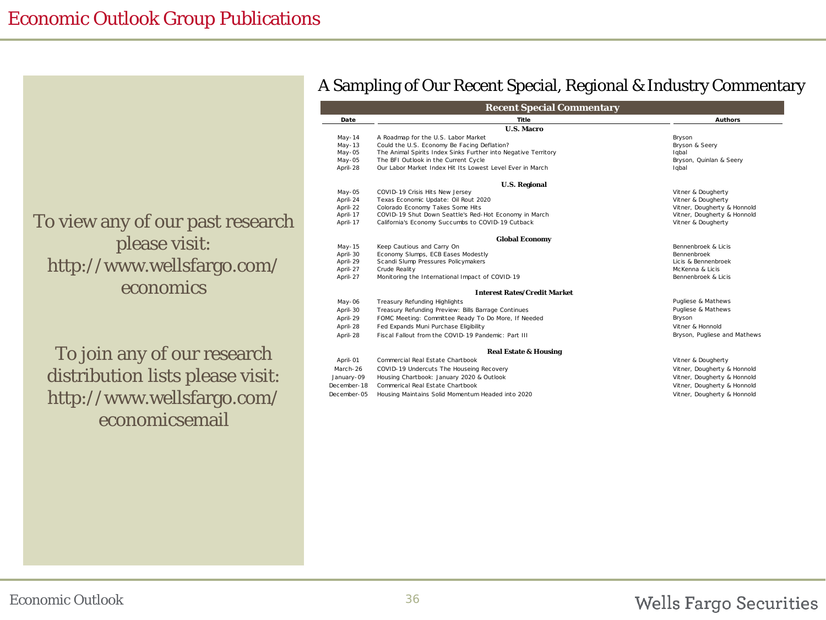To view any of our past research please visit: http://www.wellsfargo.com/ economics

To join any of our research distribution lists please visit: http://www.wellsfargo.com/ economicsemail

#### A Sampling of Our Recent Special, Regional & Industry Commentary

| <b>Recent Special Commentary</b> |                                                                |                              |  |  |  |  |  |
|----------------------------------|----------------------------------------------------------------|------------------------------|--|--|--|--|--|
| Date                             | Title                                                          | <b>Authors</b>               |  |  |  |  |  |
|                                  | <b>U.S. Macro</b>                                              |                              |  |  |  |  |  |
| $May-14$                         | A Roadmap for the U.S. Labor Market                            | Bryson                       |  |  |  |  |  |
| $May-13$                         | Could the U.S. Economy Be Facing Deflation?                    | Bryson & Seery               |  |  |  |  |  |
| $May-05$                         | The Animal Spirits Index Sinks Further into Negative Territory | Iqbal                        |  |  |  |  |  |
| $May-05$                         | The BFI Outlook in the Current Cycle                           | Bryson, Quinlan & Seery      |  |  |  |  |  |
| April-28                         | Our Labor Market Index Hit Its Lowest Level Ever in March      | Iqbal                        |  |  |  |  |  |
|                                  | <b>U.S. Regional</b>                                           |                              |  |  |  |  |  |
| May-05                           | COVID-19 Crisis Hits New Jersey                                | Vitner & Dougherty           |  |  |  |  |  |
| April-24                         | Texas Economic Update: Oil Rout 2020                           | Vitner & Dougherty           |  |  |  |  |  |
| April-22                         | Colorado Economy Takes Some Hits                               | Vitner, Dougherty & Honnold  |  |  |  |  |  |
| April-17                         | COVID-19 Shut Down Seattle's Red-Hot Economy in March          | Vitner, Dougherty & Honnold  |  |  |  |  |  |
| April-17                         | California's Economy Succumbs to COVID-19 Cutback              | Vitner & Dougherty           |  |  |  |  |  |
|                                  | <b>Global Economy</b>                                          |                              |  |  |  |  |  |
| May-15                           | Keep Cautious and Carry On                                     | Bennenbroek & Licis          |  |  |  |  |  |
| April-30                         | Economy Slumps, ECB Eases Modestly                             | Bennenbroek                  |  |  |  |  |  |
| April-29                         | Scandi Slump Pressures Policymakers                            | Licis & Bennenbroek          |  |  |  |  |  |
| April-27                         | Crude Reality                                                  | McKenna & Licis              |  |  |  |  |  |
| April-27                         | Monitoring the International Impact of COVID-19                | Bennenbroek & Licis          |  |  |  |  |  |
|                                  | <b>Interest Rates/Credit Market</b>                            |                              |  |  |  |  |  |
| May-06                           | <b>Treasury Refunding Highlights</b>                           | Pugliese & Mathews           |  |  |  |  |  |
| April-30                         | Treasury Refunding Preview: Bills Barrage Continues            | Pugliese & Mathews           |  |  |  |  |  |
| April-29                         | FOMC Meeting: Committee Ready To Do More, If Needed            | Bryson                       |  |  |  |  |  |
| April-28                         | Fed Expands Muni Purchase Eligibility                          | Vitner & Honnold             |  |  |  |  |  |
| April-28                         | Fiscal Fallout from the COVID-19 Pandemic: Part III            | Bryson, Pugliese and Mathews |  |  |  |  |  |
|                                  | <b>Real Estate &amp; Housing</b>                               |                              |  |  |  |  |  |
| April-01                         | Commercial Real Estate Chartbook                               | Vitner & Dougherty           |  |  |  |  |  |
| March-26                         | COVID-19 Undercuts The Houseing Recovery                       | Vitner, Dougherty & Honnold  |  |  |  |  |  |
| January-09                       | Housing Chartbook: January 2020 & Outlook                      | Vitner, Dougherty & Honnold  |  |  |  |  |  |
| December-18                      | Commerical Real Estate Chartbook                               | Vitner, Dougherty & Honnold  |  |  |  |  |  |
| December-05                      | Housing Maintains Solid Momentum Headed into 2020              | Vitner, Dougherty & Honnold  |  |  |  |  |  |
|                                  |                                                                |                              |  |  |  |  |  |